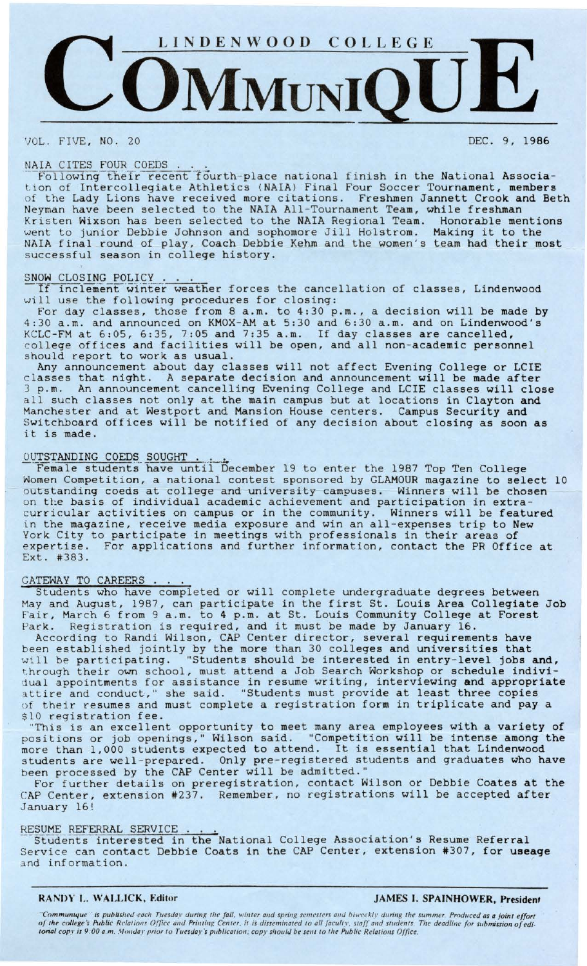

VOL. FIVE, NO. 20 DEC. 9, 1986

NAIA CITES FOUR COEDS .<br>Following their recent fourth-place national finish in the National Association of Intercollegiate Athletics **(NAIA)** Final Four Soccer Tournament, **members**  of the Lady Lions have received more citations. Freshmen Jannett Crook and Beth Neyman have been selected to the NAIA All-Tournament Team, while freshman Kristen Wixson has been selected to the **NAIA** Regional Team. Honorable mentions Went to junior Debbie Johnson and sophomore Jill Holstrom. Making it to the NAIA final round of play, Coach Debbie Kehm and the women's team had their most successful season in college history.

## SNOW CLOSING POLICY.

OW CLOSING POLICY . . . .<br>If inclement winter weather forces the cancellation of classes, Lindenwood will use the following procedures for closing:

For day classes, those from 8 a.m. to 4:30 p.m., a decision will be made by 4:30 a.m. and announced on KMOX-AM at 5:30 and 6:30 a.m. and on Lindenwood's KCLC-FM at 6:05, 6:35, 7:05 and 7:35 a.m. If day classes are cancelled, college offices and facilities will be open, and all non-academic personnel should report to work as usual.

Any announcement about day classes will not affect Evening College or LCIE classes that night. A separate decision and announcement will be made after 3 p.m. An announcement cancelling Evening College and LCIE classes will close all such classes not only at the main campus but at locations in Clayton and Manchester and at Westport and Mansion House centers. Campus Security and Switchboard offices will be notified of any decision about closing as soon as it is made.

OUTSTANDING COEDS SOUGHT ... -·-Female studentii-have unt:Ci- ecember 19 to enter the 1987 Top Ten College Women Competition, a national contest sponsored by GLAMOUR magazine to select 10 outstanding coeds at college and university campuses. Winners will be chosen on the basis of individual academic achievement and participation in extracurricular activities on campus or in the community. Winners will be featured in the magazine, receive media exposure and win an all-expenses trip to New York City to participate in meetings with professionals in their areas of expertise. For applications and further information, contact the PR Office at Ext. #383.

## GATEWAY TO CAREERS .

Students who have completed or will complete undergraduate degrees between May and August, 1987, can participate in the first St. Louis Area Collegiate Job Fair, March 6 from 9 a.m. to 4 p.m. at St. Louis Community College at Forest Park. Registration is required, and it must be made by January 16.

According to Randi Wilson, CAP Center director, several requirements have been established jointly by the more than 30 colleges and universities that will be participating. "Students should be interested in entry-level jobs **and,**  through their own school, must attend a Job Search Workshop or schedule **indivi**dual appointments for assistance in resume writing, interviewing **and appropriate**  attire and conduct," she said. "Students must provide at least three copies of their resumes and must complete a registration form in triplicate and pay a \$10 registration fee.

"This is an excellent opportunity to meet many area employees with a **variety** of positions or job openings," Wilson said. "Competition will be intense among the more than 1,000 students expected to attend. It is essential that Lindenwood students are well-prepared. Only pre-registered students and graduates who have been processed by the CAP Center will be admitted."

For further details on preregistration, contact Wilson or Debbie Coates at the CAP Center, extension #237. Remember, no registrations will be accepted after January 16!

RESUME REFERRAL SERVICE ... Stud~nts interested in the National College Association's Resume Referral Service can contact Debbie Coats in the CAP Center, extension #307, for useage and information.

### **RANDY L. WALLICK. Editor JAMES** I. **SPAINHOWER, President**

"Communique" is published each Tuesday during the fall, winter and spring semesters and biweekly during the summer. Produced as a joint effort<br>of the college's Public Relations Office and Printing Center, it is disseminate *torial copy is 9:00 a.m. Monday prior to Tuesday's publication; copy should be sent to the Public Relations Office.*